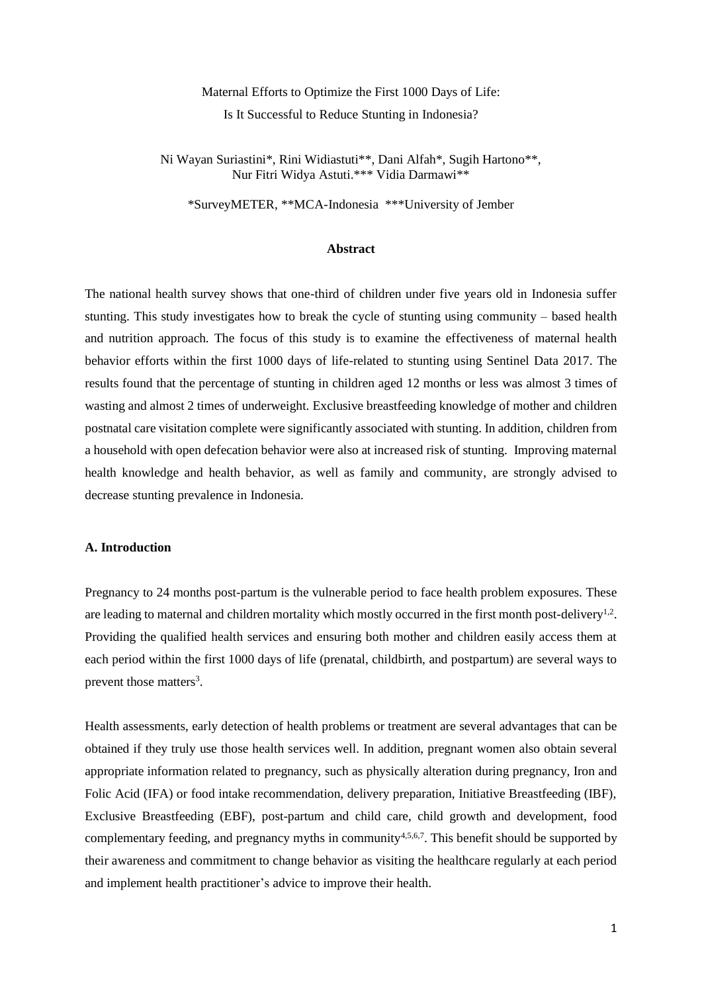# Maternal Efforts to Optimize the First 1000 Days of Life: Is It Successful to Reduce Stunting in Indonesia?

Ni Wayan Suriastini\*, Rini Widiastuti\*\*, Dani Alfah\*, Sugih Hartono\*\*, Nur Fitri Widya Astuti.\*\*\* Vidia Darmawi\*\*

\*SurveyMETER, \*\*MCA-Indonesia \*\*\*University of Jember

## **Abstract**

The national health survey shows that one-third of children under five years old in Indonesia suffer stunting. This study investigates how to break the cycle of stunting using community – based health and nutrition approach. The focus of this study is to examine the effectiveness of maternal health behavior efforts within the first 1000 days of life-related to stunting using Sentinel Data 2017. The results found that the percentage of stunting in children aged 12 months or less was almost 3 times of wasting and almost 2 times of underweight. Exclusive breastfeeding knowledge of mother and children postnatal care visitation complete were significantly associated with stunting. In addition, children from a household with open defecation behavior were also at increased risk of stunting. Improving maternal health knowledge and health behavior, as well as family and community, are strongly advised to decrease stunting prevalence in Indonesia.

# **A. Introduction**

Pregnancy to 24 months post-partum is the vulnerable period to face health problem exposures. These are leading to maternal and children mortality which mostly occurred in the first month post-delivery<sup>1,2</sup>. Providing the qualified health services and ensuring both mother and children easily access them at each period within the first 1000 days of life (prenatal, childbirth, and postpartum) are several ways to prevent those matters<sup>3</sup>.

Health assessments, early detection of health problems or treatment are several advantages that can be obtained if they truly use those health services well. In addition, pregnant women also obtain several appropriate information related to pregnancy, such as physically alteration during pregnancy, Iron and Folic Acid (IFA) or food intake recommendation, delivery preparation, Initiative Breastfeeding (IBF), Exclusive Breastfeeding (EBF), post-partum and child care, child growth and development, food complementary feeding, and pregnancy myths in community<sup>4,5,6,7</sup>. This benefit should be supported by their awareness and commitment to change behavior as visiting the healthcare regularly at each period and implement health practitioner's advice to improve their health.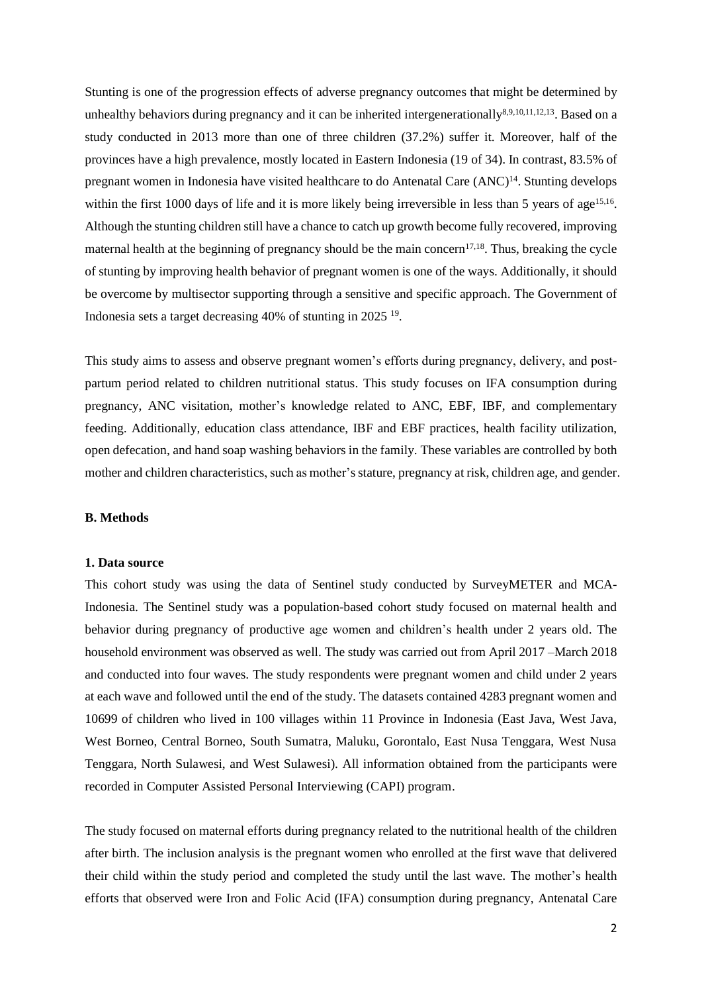Stunting is one of the progression effects of adverse pregnancy outcomes that might be determined by unhealthy behaviors during pregnancy and it can be inherited intergenerationally<sup>8,9,10,11,12,13</sup>. Based on a study conducted in 2013 more than one of three children (37.2%) suffer it. Moreover, half of the provinces have a high prevalence, mostly located in Eastern Indonesia (19 of 34). In contrast, 83.5% of pregnant women in Indonesia have visited healthcare to do Antenatal Care (ANC)<sup>14</sup>. Stunting develops within the first 1000 days of life and it is more likely being irreversible in less than 5 years of age<sup>15,16</sup>. Although the stunting children still have a chance to catch up growth become fully recovered, improving maternal health at the beginning of pregnancy should be the main concern<sup>17,18</sup>. Thus, breaking the cycle of stunting by improving health behavior of pregnant women is one of the ways. Additionally, it should be overcome by multisector supporting through a sensitive and specific approach. The Government of Indonesia sets a target decreasing 40% of stunting in 2025 <sup>19</sup> .

This study aims to assess and observe pregnant women's efforts during pregnancy, delivery, and postpartum period related to children nutritional status. This study focuses on IFA consumption during pregnancy, ANC visitation, mother's knowledge related to ANC, EBF, IBF, and complementary feeding. Additionally, education class attendance, IBF and EBF practices, health facility utilization, open defecation, and hand soap washing behaviors in the family. These variables are controlled by both mother and children characteristics, such as mother's stature, pregnancy at risk, children age, and gender.

# **B. Methods**

#### **1. Data source**

This cohort study was using the data of Sentinel study conducted by SurveyMETER and MCA-Indonesia. The Sentinel study was a population-based cohort study focused on maternal health and behavior during pregnancy of productive age women and children's health under 2 years old. The household environment was observed as well. The study was carried out from April 2017 –March 2018 and conducted into four waves. The study respondents were pregnant women and child under 2 years at each wave and followed until the end of the study. The datasets contained 4283 pregnant women and 10699 of children who lived in 100 villages within 11 Province in Indonesia (East Java, West Java, West Borneo, Central Borneo, South Sumatra, Maluku, Gorontalo, East Nusa Tenggara, West Nusa Tenggara, North Sulawesi, and West Sulawesi). All information obtained from the participants were recorded in Computer Assisted Personal Interviewing (CAPI) program.

The study focused on maternal efforts during pregnancy related to the nutritional health of the children after birth. The inclusion analysis is the pregnant women who enrolled at the first wave that delivered their child within the study period and completed the study until the last wave. The mother's health efforts that observed were Iron and Folic Acid (IFA) consumption during pregnancy, Antenatal Care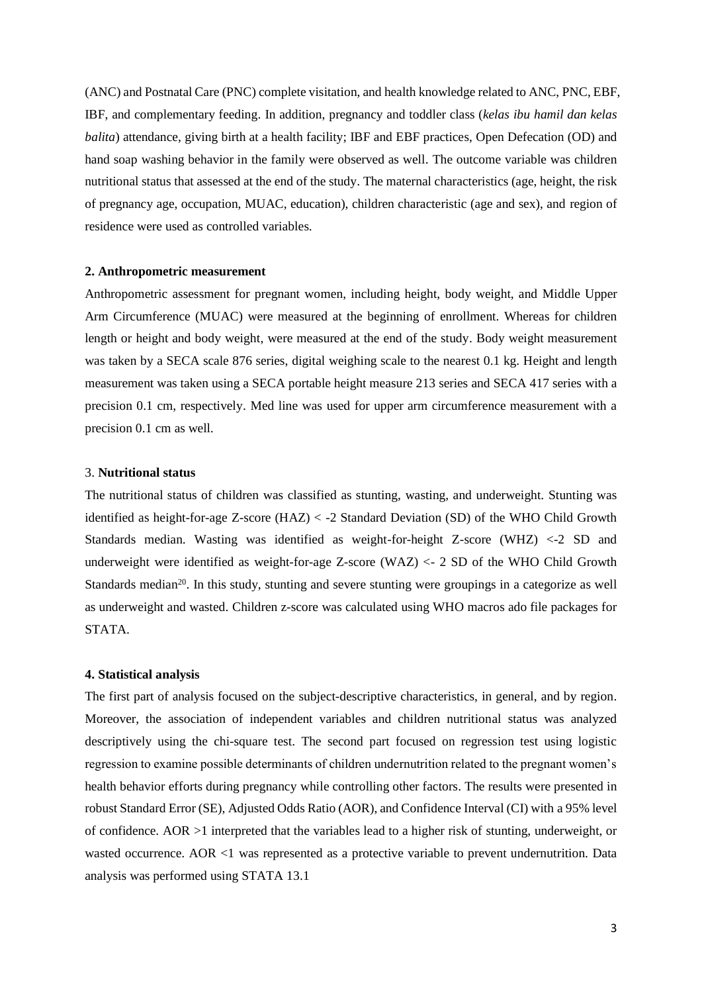(ANC) and Postnatal Care (PNC) complete visitation, and health knowledge related to ANC, PNC, EBF, IBF, and complementary feeding. In addition, pregnancy and toddler class (*kelas ibu hamil dan kelas balita*) attendance, giving birth at a health facility; IBF and EBF practices, Open Defecation (OD) and hand soap washing behavior in the family were observed as well. The outcome variable was children nutritional status that assessed at the end of the study. The maternal characteristics (age, height, the risk of pregnancy age, occupation, MUAC, education), children characteristic (age and sex), and region of residence were used as controlled variables.

## **2. Anthropometric measurement**

Anthropometric assessment for pregnant women, including height, body weight, and Middle Upper Arm Circumference (MUAC) were measured at the beginning of enrollment. Whereas for children length or height and body weight, were measured at the end of the study. Body weight measurement was taken by a SECA scale 876 series, digital weighing scale to the nearest 0.1 kg. Height and length measurement was taken using a SECA portable height measure 213 series and SECA 417 series with a precision 0.1 cm, respectively. Med line was used for upper arm circumference measurement with a precision 0.1 cm as well.

# 3. **Nutritional status**

The nutritional status of children was classified as stunting, wasting, and underweight. Stunting was identified as height-for-age Z-score (HAZ) < -2 Standard Deviation (SD) of the WHO Child Growth Standards median. Wasting was identified as weight-for-height Z-score (WHZ) <-2 SD and underweight were identified as weight-for-age Z-score (WAZ) <- 2 SD of the WHO Child Growth Standards median<sup>20</sup>. In this study, stunting and severe stunting were groupings in a categorize as well as underweight and wasted. Children z-score was calculated using WHO macros ado file packages for STATA.

#### **4. Statistical analysis**

The first part of analysis focused on the subject-descriptive characteristics, in general, and by region. Moreover, the association of independent variables and children nutritional status was analyzed descriptively using the chi-square test. The second part focused on regression test using logistic regression to examine possible determinants of children undernutrition related to the pregnant women's health behavior efforts during pregnancy while controlling other factors. The results were presented in robust Standard Error (SE), Adjusted Odds Ratio (AOR), and Confidence Interval (CI) with a 95% level of confidence. AOR >1 interpreted that the variables lead to a higher risk of stunting, underweight, or wasted occurrence. AOR <1 was represented as a protective variable to prevent undernutrition. Data analysis was performed using STATA 13.1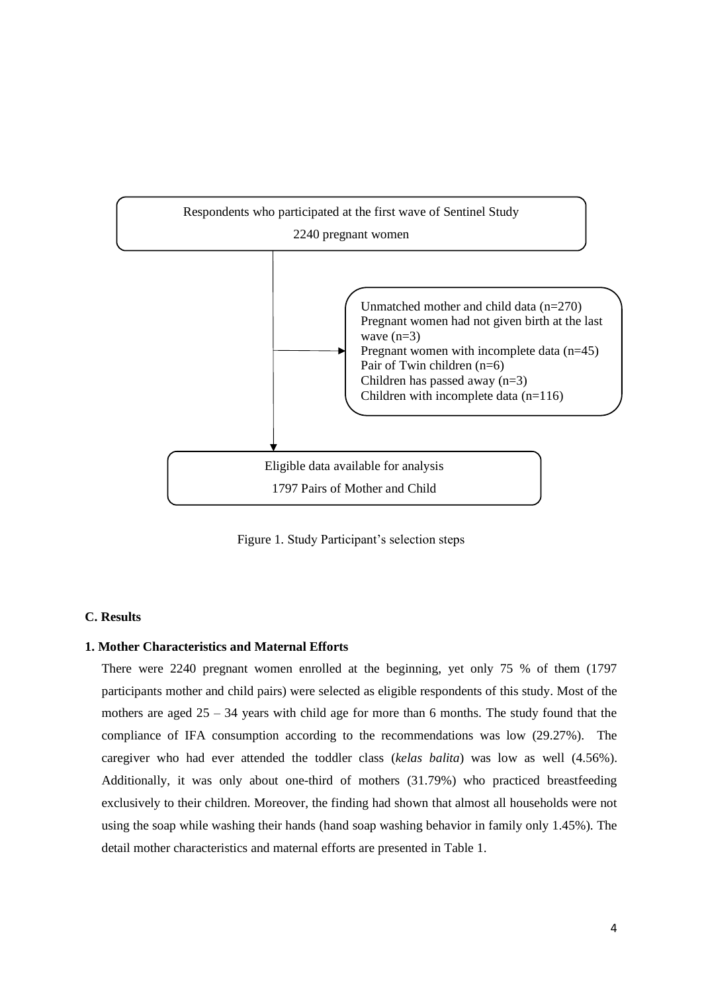

Figure 1. Study Participant's selection steps

# **C. Results**

# **1. Mother Characteristics and Maternal Efforts**

There were 2240 pregnant women enrolled at the beginning, yet only 75 % of them (1797 participants mother and child pairs) were selected as eligible respondents of this study. Most of the mothers are aged  $25 - 34$  years with child age for more than 6 months. The study found that the compliance of IFA consumption according to the recommendations was low (29.27%). The caregiver who had ever attended the toddler class (*kelas balita*) was low as well (4.56%). Additionally, it was only about one-third of mothers (31.79%) who practiced breastfeeding exclusively to their children. Moreover, the finding had shown that almost all households were not using the soap while washing their hands (hand soap washing behavior in family only 1.45%). The detail mother characteristics and maternal efforts are presented in Table 1.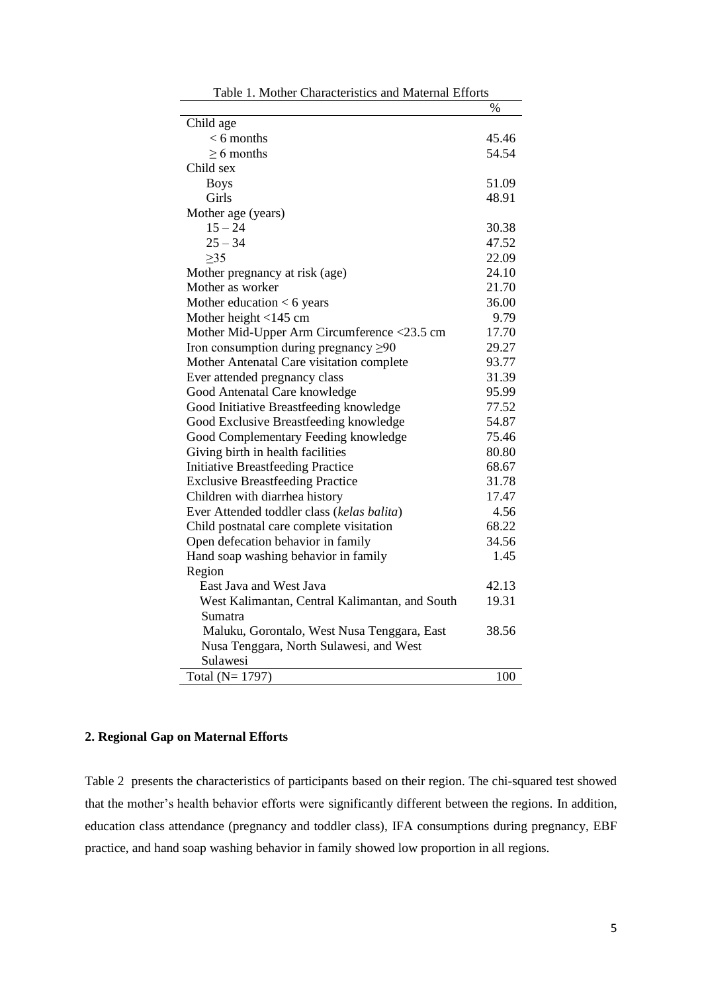|                                                | $\%$  |
|------------------------------------------------|-------|
| Child age                                      |       |
| $< 6$ months                                   | 45.46 |
| $> 6$ months                                   | 54.54 |
| Child sex                                      |       |
| <b>Boys</b>                                    | 51.09 |
| Girls                                          | 48.91 |
| Mother age (years)                             |       |
| $15 - 24$                                      | 30.38 |
| $25 - 34$                                      | 47.52 |
| $>35$                                          | 22.09 |
| Mother pregnancy at risk (age)                 | 24.10 |
| Mother as worker                               | 21.70 |
| Mother education $< 6$ years                   | 36.00 |
| Mother height $<$ 145 cm                       | 9.79  |
| Mother Mid-Upper Arm Circumference <23.5 cm    | 17.70 |
| Iron consumption during pregnancy $\geq 90$    | 29.27 |
| Mother Antenatal Care visitation complete      | 93.77 |
| Ever attended pregnancy class                  | 31.39 |
| Good Antenatal Care knowledge                  | 95.99 |
| Good Initiative Breastfeeding knowledge        | 77.52 |
| Good Exclusive Breastfeeding knowledge         | 54.87 |
| Good Complementary Feeding knowledge           | 75.46 |
| Giving birth in health facilities              | 80.80 |
| <b>Initiative Breastfeeding Practice</b>       | 68.67 |
| <b>Exclusive Breastfeeding Practice</b>        | 31.78 |
| Children with diarrhea history                 | 17.47 |
| Ever Attended toddler class (kelas balita)     | 4.56  |
| Child postnatal care complete visitation       | 68.22 |
| Open defecation behavior in family             | 34.56 |
| Hand soap washing behavior in family           | 1.45  |
| Region                                         |       |
| East Java and West Java                        | 42.13 |
| West Kalimantan, Central Kalimantan, and South | 19.31 |
| Sumatra                                        |       |
| Maluku, Gorontalo, West Nusa Tenggara, East    | 38.56 |
| Nusa Tenggara, North Sulawesi, and West        |       |
| Sulawesi                                       |       |
| Total (N= 1797)                                | 100   |

Table 1. Mother Characteristics and Maternal Efforts

# **2. Regional Gap on Maternal Efforts**

Table 2 presents the characteristics of participants based on their region. The chi-squared test showed that the mother's health behavior efforts were significantly different between the regions. In addition, education class attendance (pregnancy and toddler class), IFA consumptions during pregnancy, EBF practice, and hand soap washing behavior in family showed low proportion in all regions.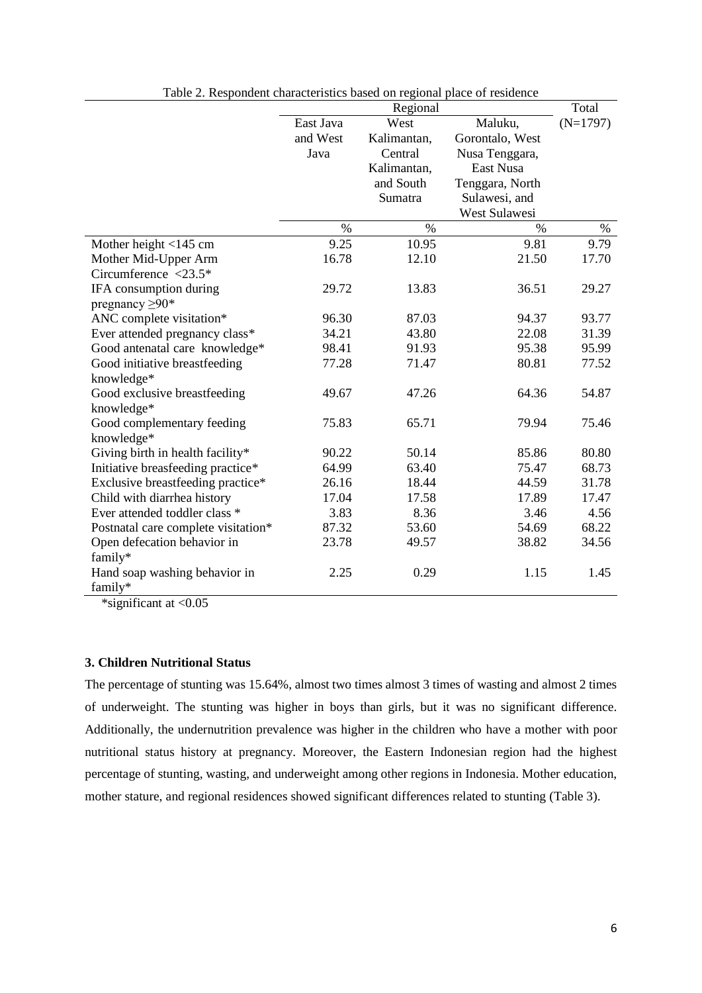|                                     |           | Total       |                 |            |
|-------------------------------------|-----------|-------------|-----------------|------------|
|                                     | East Java | West        | Maluku,         | $(N=1797)$ |
|                                     | and West  | Kalimantan, | Gorontalo, West |            |
|                                     | Java      | Central     | Nusa Tenggara,  |            |
|                                     |           | Kalimantan, | East Nusa       |            |
|                                     |           | and South   | Tenggara, North |            |
|                                     |           | Sumatra     | Sulawesi, and   |            |
|                                     |           |             | West Sulawesi   |            |
|                                     | $\%$      | $\%$        | $\%$            | $\%$       |
| Mother height $<$ 145 cm            | 9.25      | 10.95       | 9.81            | 9.79       |
| Mother Mid-Upper Arm                | 16.78     | 12.10       | 21.50           | 17.70      |
| Circumference $\langle 23.5^*$      |           |             |                 |            |
| IFA consumption during              | 29.72     | 13.83       | 36.51           | 29.27      |
| pregnancy $\geq 90*$                |           |             |                 |            |
| ANC complete visitation*            | 96.30     | 87.03       | 94.37           | 93.77      |
| Ever attended pregnancy class*      | 34.21     | 43.80       | 22.08           | 31.39      |
| Good antenatal care knowledge*      | 98.41     | 91.93       | 95.38           | 95.99      |
| Good initiative breastfeeding       | 77.28     | 71.47       | 80.81           | 77.52      |
| knowledge*                          |           |             |                 |            |
| Good exclusive breastfeeding        | 49.67     | 47.26       | 64.36           | 54.87      |
| knowledge*                          |           |             |                 |            |
| Good complementary feeding          | 75.83     | 65.71       | 79.94           | 75.46      |
| knowledge*                          |           |             |                 |            |
| Giving birth in health facility*    | 90.22     | 50.14       | 85.86           | 80.80      |
| Initiative breasfeeding practice*   | 64.99     | 63.40       | 75.47           | 68.73      |
| Exclusive breastfeeding practice*   | 26.16     | 18.44       | 44.59           | 31.78      |
| Child with diarrhea history         | 17.04     | 17.58       | 17.89           | 17.47      |
| Ever attended toddler class *       | 3.83      | 8.36        | 3.46            | 4.56       |
| Postnatal care complete visitation* | 87.32     | 53.60       | 54.69           | 68.22      |
| Open defecation behavior in         | 23.78     | 49.57       | 38.82           | 34.56      |
| family*                             |           |             |                 |            |
| Hand soap washing behavior in       | 2.25      | 0.29        | 1.15            | 1.45       |
| family*                             |           |             |                 |            |

Table 2. Respondent characteristics based on regional place of residence

\*significant at <0.05

# **3. Children Nutritional Status**

The percentage of stunting was 15.64%, almost two times almost 3 times of wasting and almost 2 times of underweight. The stunting was higher in boys than girls, but it was no significant difference. Additionally, the undernutrition prevalence was higher in the children who have a mother with poor nutritional status history at pregnancy. Moreover, the Eastern Indonesian region had the highest percentage of stunting, wasting, and underweight among other regions in Indonesia. Mother education, mother stature, and regional residences showed significant differences related to stunting (Table 3).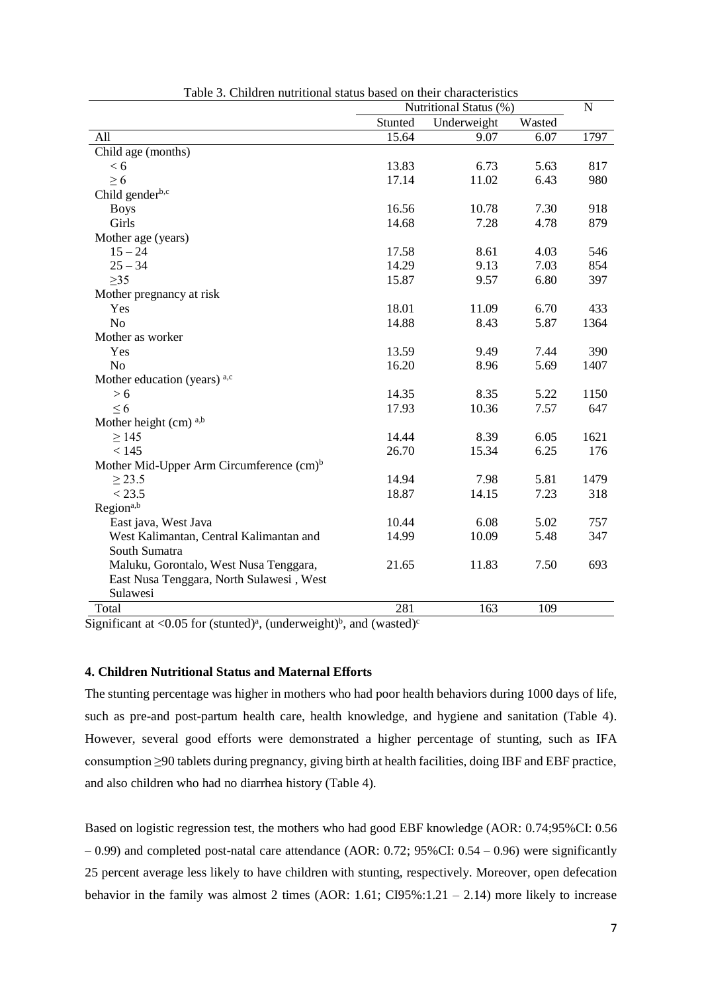|                                                      | Nutritional Status (%) | $\mathbf N$ |        |      |
|------------------------------------------------------|------------------------|-------------|--------|------|
|                                                      | Stunted                | Underweight | Wasted |      |
| All                                                  | 15.64                  | 9.07        | 6.07   | 1797 |
| Child age (months)                                   |                        |             |        |      |
| < 6                                                  | 13.83                  | 6.73        | 5.63   | 817  |
| $\geq 6$                                             | 17.14                  | 11.02       | 6.43   | 980  |
| Child genderb,c                                      |                        |             |        |      |
| <b>Boys</b>                                          | 16.56                  | 10.78       | 7.30   | 918  |
| Girls                                                | 14.68                  | 7.28        | 4.78   | 879  |
| Mother age (years)                                   |                        |             |        |      |
| $15 - 24$                                            | 17.58                  | 8.61        | 4.03   | 546  |
| $25 - 34$                                            | 14.29                  | 9.13        | 7.03   | 854  |
| $\geq$ 35                                            | 15.87                  | 9.57        | 6.80   | 397  |
| Mother pregnancy at risk                             |                        |             |        |      |
| Yes                                                  | 18.01                  | 11.09       | 6.70   | 433  |
| N <sub>o</sub>                                       | 14.88                  | 8.43        | 5.87   | 1364 |
| Mother as worker                                     |                        |             |        |      |
| Yes                                                  | 13.59                  | 9.49        | 7.44   | 390  |
| N <sub>o</sub>                                       | 16.20                  | 8.96        | 5.69   | 1407 |
| Mother education (years) $a, c$                      |                        |             |        |      |
| > 6                                                  | 14.35                  | 8.35        | 5.22   | 1150 |
| $\leq 6$                                             | 17.93                  | 10.36       | 7.57   | 647  |
| Mother height $(cm)$ <sup>a,b</sup>                  |                        |             |        |      |
| $\geq$ 145                                           | 14.44                  | 8.39        | 6.05   | 1621 |
| < 145                                                | 26.70                  | 15.34       | 6.25   | 176  |
| Mother Mid-Upper Arm Circumference (cm) <sup>b</sup> |                        |             |        |      |
| $\geq$ 23.5                                          | 14.94                  | 7.98        | 5.81   | 1479 |
| < 23.5                                               | 18.87                  | 14.15       | 7.23   | 318  |
| Region <sup>a,b</sup>                                |                        |             |        |      |
| East java, West Java                                 | 10.44                  | 6.08        | 5.02   | 757  |
| West Kalimantan, Central Kalimantan and              | 14.99                  | 10.09       | 5.48   | 347  |
| South Sumatra                                        |                        |             |        |      |
| Maluku, Gorontalo, West Nusa Tenggara,               | 21.65                  | 11.83       | 7.50   | 693  |
| East Nusa Tenggara, North Sulawesi, West             |                        |             |        |      |
| Sulawesi                                             |                        |             |        |      |
| Total                                                | 281                    | 163         | 109    |      |

Table 3. Children nutritional status based on their characteristics

Significant at <0.05 for (stunted)<sup>a</sup>, (underweight)<sup>b</sup>, and (wasted)<sup>c</sup>

# **4. Children Nutritional Status and Maternal Efforts**

The stunting percentage was higher in mothers who had poor health behaviors during 1000 days of life, such as pre-and post-partum health care, health knowledge, and hygiene and sanitation (Table 4). However, several good efforts were demonstrated a higher percentage of stunting, such as IFA consumption ≥90 tablets during pregnancy, giving birth at health facilities, doing IBF and EBF practice, and also children who had no diarrhea history (Table 4).

Based on logistic regression test, the mothers who had good EBF knowledge (AOR: 0.74;95%CI: 0.56 – 0.99) and completed post-natal care attendance (AOR: 0.72; 95%CI: 0.54 – 0.96) were significantly 25 percent average less likely to have children with stunting, respectively. Moreover, open defecation behavior in the family was almost 2 times (AOR: 1.61; CI95%:1.21 – 2.14) more likely to increase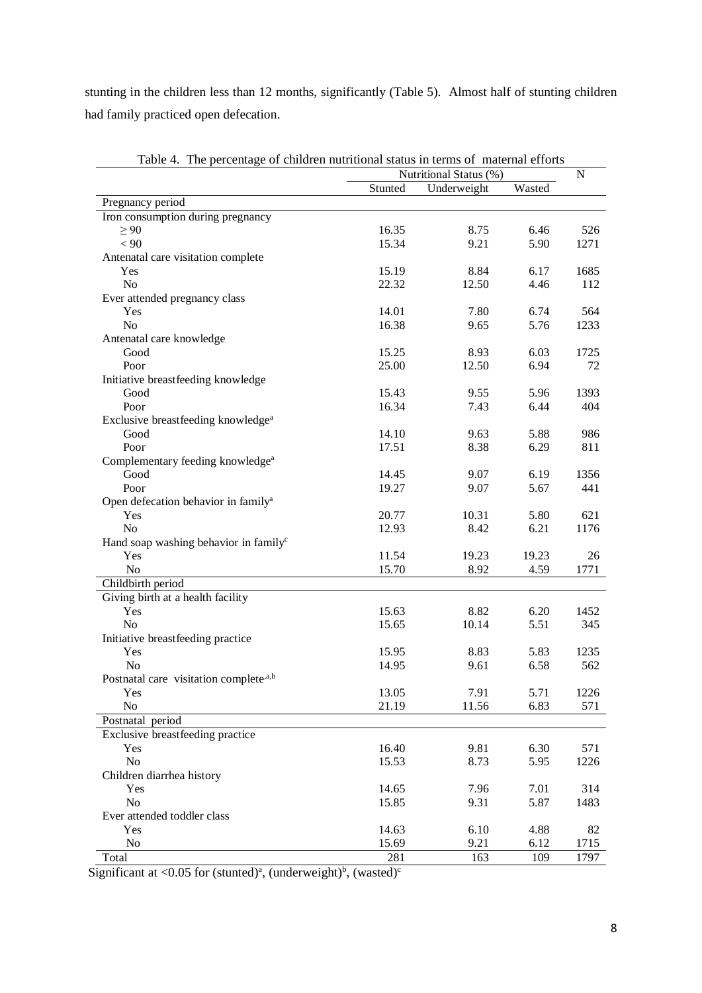stunting in the children less than 12 months, significantly (Table 5). Almost half of stunting children had family practiced open defecation.

|                                                    |         | Nutritional Status (%) |        |      |  |
|----------------------------------------------------|---------|------------------------|--------|------|--|
|                                                    | Stunted | Underweight            | Wasted |      |  |
| Pregnancy period                                   |         |                        |        |      |  |
| Iron consumption during pregnancy                  |         |                        |        |      |  |
| $\geq 90$                                          | 16.35   | 8.75                   | 6.46   | 526  |  |
| < 90                                               | 15.34   | 9.21                   | 5.90   | 1271 |  |
| Antenatal care visitation complete                 |         |                        |        |      |  |
| Yes                                                | 15.19   | 8.84                   | 6.17   | 1685 |  |
| N <sub>o</sub>                                     | 22.32   | 12.50                  | 4.46   | 112  |  |
| Ever attended pregnancy class                      |         |                        |        |      |  |
| Yes                                                | 14.01   | 7.80                   | 6.74   | 564  |  |
| N <sub>o</sub>                                     | 16.38   | 9.65                   | 5.76   | 1233 |  |
| Antenatal care knowledge                           |         |                        |        |      |  |
| Good                                               | 15.25   | 8.93                   | 6.03   | 1725 |  |
| Poor                                               | 25.00   | 12.50                  | 6.94   | 72   |  |
| Initiative breastfeeding knowledge                 |         |                        |        |      |  |
| Good                                               | 15.43   | 9.55                   | 5.96   | 1393 |  |
| Poor                                               | 16.34   | 7.43                   | 6.44   | 404  |  |
| Exclusive breastfeeding knowledge <sup>a</sup>     |         |                        |        |      |  |
| Good                                               | 14.10   | 9.63                   | 5.88   | 986  |  |
| Poor                                               | 17.51   | 8.38                   | 6.29   | 811  |  |
| Complementary feeding knowledge <sup>a</sup>       |         |                        |        |      |  |
| Good                                               | 14.45   | 9.07                   | 6.19   | 1356 |  |
| Poor                                               | 19.27   | 9.07                   | 5.67   | 441  |  |
| Open defecation behavior in family <sup>a</sup>    |         |                        |        |      |  |
| Yes                                                | 20.77   | 10.31                  | 5.80   | 621  |  |
| N <sub>o</sub>                                     | 12.93   | 8.42                   | 6.21   | 1176 |  |
| Hand soap washing behavior in family <sup>c</sup>  |         |                        |        |      |  |
| Yes                                                | 11.54   | 19.23                  | 19.23  | 26   |  |
| No                                                 | 15.70   | 8.92                   | 4.59   | 1771 |  |
|                                                    |         |                        |        |      |  |
| Childbirth period                                  |         |                        |        |      |  |
| Giving birth at a health facility                  |         |                        |        |      |  |
| Yes                                                | 15.63   | 8.82                   | 6.20   | 1452 |  |
| N <sub>o</sub>                                     | 15.65   | 10.14                  | 5.51   | 345  |  |
| Initiative breastfeeding practice                  |         |                        |        |      |  |
| Yes                                                | 15.95   | 8.83                   | 5.83   | 1235 |  |
| N <sub>o</sub>                                     | 14.95   | 9.61                   | 6.58   | 562  |  |
| Postnatal care visitation complete <sup>,a,b</sup> |         |                        |        |      |  |
| <b>Yes</b>                                         | 13.05   | 7.91                   | 5.71   | 1226 |  |
| N <sub>o</sub>                                     | 21.19   | 11.56                  | 6.83   | 571  |  |
| Postnatal period                                   |         |                        |        |      |  |
| Exclusive breastfeeding practice                   |         |                        |        |      |  |
| Yes                                                | 16.40   | 9.81                   | 6.30   | 571  |  |
| N <sub>o</sub>                                     | 15.53   | 8.73                   | 5.95   | 1226 |  |
| Children diarrhea history                          |         |                        |        |      |  |
| Yes                                                | 14.65   | 7.96                   | 7.01   | 314  |  |
| N <sub>o</sub>                                     | 15.85   | 9.31                   | 5.87   | 1483 |  |
| Ever attended toddler class                        |         |                        |        |      |  |
| Yes                                                | 14.63   | 6.10                   | 4.88   | 82   |  |
| No                                                 | 15.69   | 9.21                   | 6.12   | 1715 |  |
| Total                                              | 281     | 163                    | 109    | 1797 |  |

Table 4. The percentage of children nutritional status in terms of maternal efforts

Significant at <0.05 for (stunted)<sup>a</sup>, (underweight)<sup>b</sup>, (wasted)<sup>c</sup>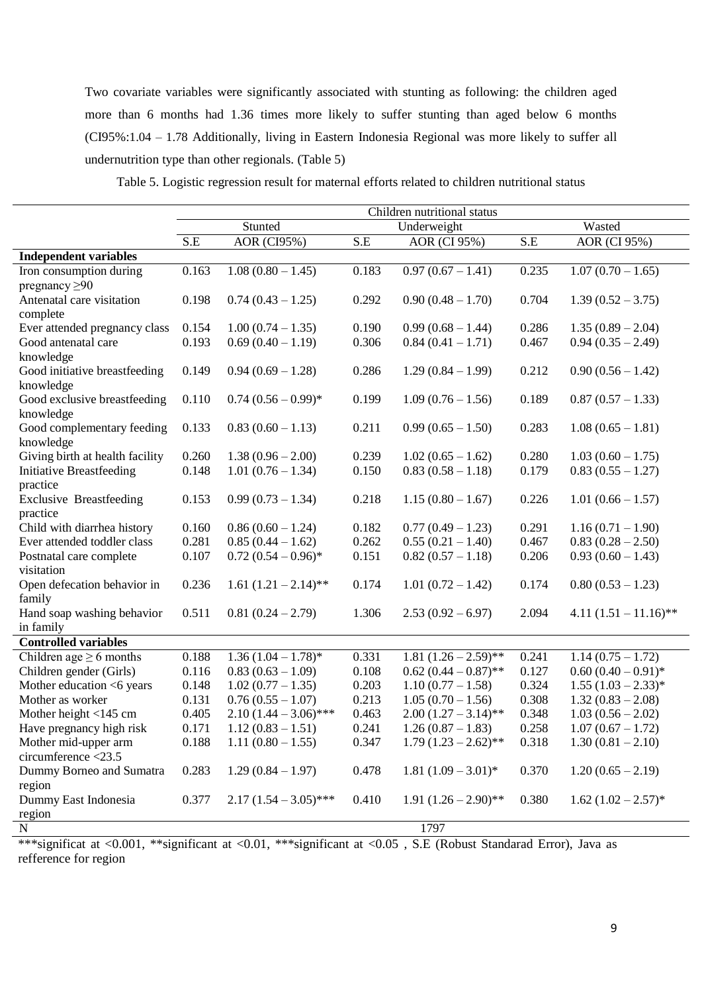Two covariate variables were significantly associated with stunting as following: the children aged more than 6 months had 1.36 times more likely to suffer stunting than aged below 6 months (CI95%:1.04 – 1.78 Additionally, living in Eastern Indonesia Regional was more likely to suffer all undernutrition type than other regionals. (Table 5)

|                                                                                                                                      | Children nutritional status |                                            |                         |                                            |                |                                            |
|--------------------------------------------------------------------------------------------------------------------------------------|-----------------------------|--------------------------------------------|-------------------------|--------------------------------------------|----------------|--------------------------------------------|
|                                                                                                                                      | Stunted<br>Underweight      |                                            | Wasted                  |                                            |                |                                            |
|                                                                                                                                      | S.E                         | <b>AOR</b> (CI95%)                         | $\overline{\text{S.E}}$ | AOR (CI 95%)                               | S.E            | <b>AOR</b> (CI 95%)                        |
| <b>Independent variables</b>                                                                                                         |                             |                                            |                         |                                            |                |                                            |
| Iron consumption during                                                                                                              | 0.163                       | $1.08(0.80 - 1.45)$                        | 0.183                   | $0.97(0.67 - 1.41)$                        | 0.235          | $1.07(0.70 - 1.65)$                        |
| pregnancy $\geq 90$                                                                                                                  |                             |                                            |                         |                                            |                |                                            |
| Antenatal care visitation                                                                                                            | 0.198                       | $0.74(0.43 - 1.25)$                        | 0.292                   | $0.90(0.48 - 1.70)$                        | 0.704          | $1.39(0.52 - 3.75)$                        |
| complete                                                                                                                             |                             |                                            |                         |                                            |                |                                            |
| Ever attended pregnancy class                                                                                                        | 0.154                       | $1.00(0.74 - 1.35)$                        | 0.190                   | $0.99(0.68 - 1.44)$                        | 0.286          | $1.35(0.89 - 2.04)$                        |
| Good antenatal care                                                                                                                  | 0.193                       | $0.69(0.40 - 1.19)$                        | 0.306                   | $0.84(0.41-1.71)$                          | 0.467          | $0.94(0.35 - 2.49)$                        |
| knowledge                                                                                                                            |                             |                                            |                         |                                            |                |                                            |
| Good initiative breastfeeding                                                                                                        | 0.149                       | $0.94(0.69 - 1.28)$                        | 0.286                   | $1.29(0.84 - 1.99)$                        | 0.212          | $0.90(0.56 - 1.42)$                        |
| knowledge                                                                                                                            |                             |                                            |                         |                                            |                |                                            |
| Good exclusive breastfeeding                                                                                                         | 0.110                       | $0.74(0.56-0.99)*$                         | 0.199                   | $1.09(0.76 - 1.56)$                        | 0.189          | $0.87(0.57-1.33)$                          |
| knowledge                                                                                                                            |                             |                                            |                         |                                            |                |                                            |
| Good complementary feeding                                                                                                           | 0.133                       | $0.83(0.60 - 1.13)$                        | 0.211                   | $0.99(0.65 - 1.50)$                        | 0.283          | $1.08(0.65 - 1.81)$                        |
| knowledge                                                                                                                            |                             |                                            |                         |                                            |                |                                            |
| Giving birth at health facility<br><b>Initiative Breastfeeding</b>                                                                   | 0.260<br>0.148              | $1.38(0.96 - 2.00)$<br>$1.01(0.76 - 1.34)$ | 0.239<br>0.150          | $1.02(0.65 - 1.62)$<br>$0.83(0.58 - 1.18)$ | 0.280<br>0.179 | $1.03(0.60 - 1.75)$<br>$0.83(0.55 - 1.27)$ |
| practice                                                                                                                             |                             |                                            |                         |                                            |                |                                            |
| <b>Exclusive Breastfeeding</b>                                                                                                       | 0.153                       | $0.99(0.73 - 1.34)$                        | 0.218                   | $1.15(0.80 - 1.67)$                        | 0.226          | $1.01(0.66 - 1.57)$                        |
| practice                                                                                                                             |                             |                                            |                         |                                            |                |                                            |
| Child with diarrhea history                                                                                                          | 0.160                       | $0.86(0.60 - 1.24)$                        | 0.182                   | $0.77(0.49 - 1.23)$                        | 0.291          | $1.16(0.71 - 1.90)$                        |
| Ever attended toddler class                                                                                                          | 0.281                       | $0.85(0.44 - 1.62)$                        | 0.262                   | $0.55(0.21-1.40)$                          | 0.467          | $0.83(0.28-2.50)$                          |
| Postnatal care complete                                                                                                              | 0.107                       | $0.72(0.54-0.96)$ *                        | 0.151                   | $0.82(0.57 - 1.18)$                        | 0.206          | $0.93(0.60 - 1.43)$                        |
| visitation                                                                                                                           |                             |                                            |                         |                                            |                |                                            |
| Open defecation behavior in                                                                                                          | 0.236                       | 1.61 $(1.21 - 2.14)$ **                    | 0.174                   | $1.01(0.72 - 1.42)$                        | 0.174          | $0.80(0.53 - 1.23)$                        |
| family                                                                                                                               |                             |                                            |                         |                                            |                |                                            |
| Hand soap washing behavior                                                                                                           | 0.511                       | $0.81(0.24-2.79)$                          | 1.306                   | $2.53(0.92 - 6.97)$                        | 2.094          | $4.11(1.51 - 11.16)$ **                    |
| in family                                                                                                                            |                             |                                            |                         |                                            |                |                                            |
| <b>Controlled variables</b>                                                                                                          |                             |                                            |                         |                                            |                |                                            |
| Children age $\geq 6$ months                                                                                                         | 0.188                       | $1.36(1.04-1.78)$ *                        | 0.331                   | $1.81 (1.26 - 2.59)$ **                    | 0.241          | $1.14(0.75-1.72)$                          |
| Children gender (Girls)                                                                                                              | 0.116                       | $0.83(0.63-1.09)$                          | 0.108                   | $0.62(0.44-0.87)$ **                       | 0.127          | $0.60(0.40-0.91)$ *                        |
| Mother education <6 years                                                                                                            | 0.148                       | $1.02(0.77 - 1.35)$                        | 0.203                   | $1.10(0.77 - 1.58)$                        | 0.324          | $1.55 (1.03 - 2.33)^*$                     |
| Mother as worker                                                                                                                     | 0.131                       | $0.76(0.55 - 1.07)$                        | 0.213                   | $1.05(0.70 - 1.56)$                        | 0.308          | $1.32(0.83 - 2.08)$                        |
| Mother height <145 cm                                                                                                                | 0.405                       | $2.10(1.44 - 3.06)$ ***                    | 0.463                   | $2.00(1.27-3.14)$ **                       | 0.348          | $1.03(0.56 - 2.02)$                        |
| Have pregnancy high risk                                                                                                             | 0.171                       | $1.12(0.83 - 1.51)$                        | 0.241                   | $1.26(0.87-1.83)$                          | 0.258          | $1.07(0.67 - 1.72)$                        |
| Mother mid-upper arm                                                                                                                 | 0.188                       | $1.11(0.80 - 1.55)$                        | 0.347                   | $1.79(1.23-2.62)$ **                       | 0.318          | $1.30(0.81 - 2.10)$                        |
| circumference <23.5                                                                                                                  |                             |                                            |                         |                                            |                |                                            |
| Dummy Borneo and Sumatra                                                                                                             | 0.283                       | $1.29(0.84 - 1.97)$                        | 0.478                   | $1.81 (1.09 - 3.01)^*$                     | 0.370          | $1.20(0.65 - 2.19)$                        |
| region                                                                                                                               |                             |                                            |                         |                                            |                |                                            |
| Dummy East Indonesia                                                                                                                 | 0.377                       | $2.17(1.54 - 3.05)$ ***                    | 0.410                   | $1.91 (1.26 - 2.90)^{**}$                  | 0.380          | $1.62 (1.02 - 2.57)^*$                     |
| region                                                                                                                               |                             |                                            |                         |                                            |                |                                            |
| $\mathbf N$<br>1797<br>R E/D <sub>1</sub><br>$\cdot$ or $\cdot$<br>$0.01 + 44 + 1$<br>444.1<br>$\cdot$ c.<br>44.1<br>00 <sup>2</sup> |                             |                                            |                         |                                            |                |                                            |

Table 5. Logistic regression result for maternal efforts related to children nutritional status

\*\*\*significat at <0.001, \*\*significant at <0.01, \*\*\*significant at <0.05 , S.E (Robust Standarad Error), Java as refference for region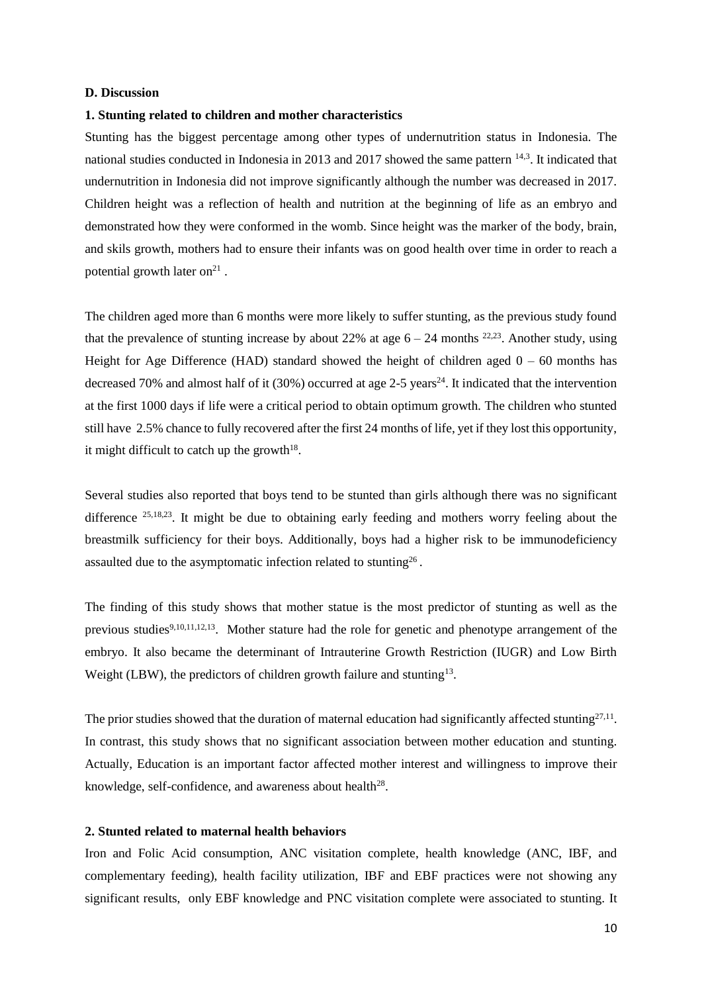## **D. Discussion**

## **1. Stunting related to children and mother characteristics**

Stunting has the biggest percentage among other types of undernutrition status in Indonesia. The national studies conducted in Indonesia in 2013 and 2017 showed the same pattern 14,3. It indicated that undernutrition in Indonesia did not improve significantly although the number was decreased in 2017. Children height was a reflection of health and nutrition at the beginning of life as an embryo and demonstrated how they were conformed in the womb. Since height was the marker of the body, brain, and skils growth, mothers had to ensure their infants was on good health over time in order to reach a potential growth later on $21$ .

The children aged more than 6 months were more likely to suffer stunting, as the previous study found that the prevalence of stunting increase by about 22% at age  $6 - 24$  months <sup>22,23</sup>. Another study, using Height for Age Difference (HAD) standard showed the height of children aged  $0 - 60$  months has decreased 70% and almost half of it  $(30\%)$  occurred at age 2-5 years<sup>24</sup>. It indicated that the intervention at the first 1000 days if life were a critical period to obtain optimum growth. The children who stunted still have 2.5% chance to fully recovered after the first 24 months of life, yet if they lost this opportunity, it might difficult to catch up the growth $18$ .

Several studies also reported that boys tend to be stunted than girls although there was no significant difference <sup>25,18,23</sup>. It might be due to obtaining early feeding and mothers worry feeling about the breastmilk sufficiency for their boys. Additionally, boys had a higher risk to be immunodeficiency assaulted due to the asymptomatic infection related to stunting<sup>26</sup>.

The finding of this study shows that mother statue is the most predictor of stunting as well as the previous studies<sup>9,10,11,12,13</sup>. Mother stature had the role for genetic and phenotype arrangement of the embryo. It also became the determinant of Intrauterine Growth Restriction (IUGR) and Low Birth Weight (LBW), the predictors of children growth failure and stunting<sup>13</sup>.

The prior studies showed that the duration of maternal education had significantly affected stunting $27,11$ . In contrast, this study shows that no significant association between mother education and stunting. Actually, Education is an important factor affected mother interest and willingness to improve their knowledge, self-confidence, and awareness about health<sup>28</sup>.

# **2. Stunted related to maternal health behaviors**

Iron and Folic Acid consumption, ANC visitation complete, health knowledge (ANC, IBF, and complementary feeding), health facility utilization, IBF and EBF practices were not showing any significant results, only EBF knowledge and PNC visitation complete were associated to stunting. It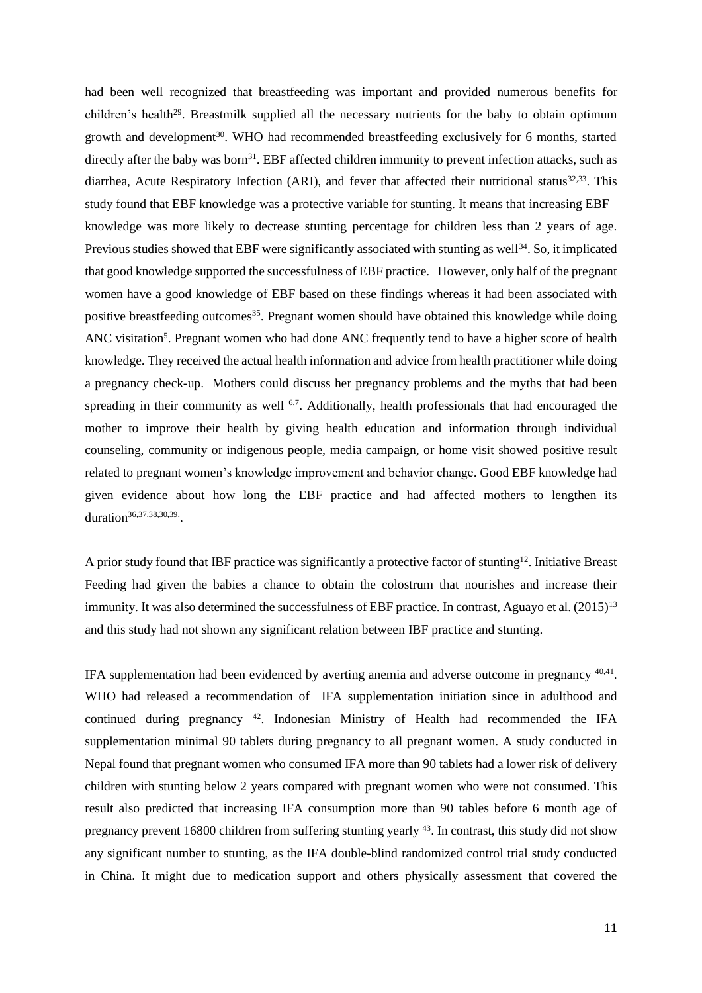had been well recognized that breastfeeding was important and provided numerous benefits for children's health<sup>29</sup>. Breastmilk supplied all the necessary nutrients for the baby to obtain optimum growth and development<sup>30</sup>. WHO had recommended breastfeeding exclusively for 6 months, started directly after the baby was born<sup>31</sup>. EBF affected children immunity to prevent infection attacks, such as diarrhea, Acute Respiratory Infection (ARI), and fever that affected their nutritional status<sup>32,33</sup>. This study found that EBF knowledge was a protective variable for stunting. It means that increasing EBF knowledge was more likely to decrease stunting percentage for children less than 2 years of age. Previous studies showed that EBF were significantly associated with stunting as well<sup>34</sup>. So, it implicated that good knowledge supported the successfulness of EBF practice. However, only half of the pregnant women have a good knowledge of EBF based on these findings whereas it had been associated with positive breastfeeding outcomes<sup>35</sup>. Pregnant women should have obtained this knowledge while doing ANC visitation<sup>5</sup>. Pregnant women who had done ANC frequently tend to have a higher score of health knowledge. They received the actual health information and advice from health practitioner while doing a pregnancy check-up. Mothers could discuss her pregnancy problems and the myths that had been spreading in their community as well <sup>6,7</sup>. Additionally, health professionals that had encouraged the mother to improve their health by giving health education and information through individual counseling, community or indigenous people, media campaign, or home visit showed positive result related to pregnant women's knowledge improvement and behavior change. Good EBF knowledge had given evidence about how long the EBF practice and had affected mothers to lengthen its duration<sup>36,37,38,30,39</sup>.

A prior study found that IBF practice was significantly a protective factor of stunting<sup>12</sup>. Initiative Breast Feeding had given the babies a chance to obtain the colostrum that nourishes and increase their immunity. It was also determined the successfulness of EBF practice. In contrast, Aguayo et al. (2015)<sup>13</sup> and this study had not shown any significant relation between IBF practice and stunting.

IFA supplementation had been evidenced by averting anemia and adverse outcome in pregnancy <sup>40,41</sup>. WHO had released a recommendation of IFA supplementation initiation since in adulthood and continued during pregnancy <sup>42</sup>. Indonesian Ministry of Health had recommended the IFA supplementation minimal 90 tablets during pregnancy to all pregnant women. A study conducted in Nepal found that pregnant women who consumed IFA more than 90 tablets had a lower risk of delivery children with stunting below 2 years compared with pregnant women who were not consumed. This result also predicted that increasing IFA consumption more than 90 tables before 6 month age of pregnancy prevent 16800 children from suffering stunting yearly <sup>43</sup>. In contrast, this study did not show any significant number to stunting, as the IFA double-blind randomized control trial study conducted in China. It might due to medication support and others physically assessment that covered the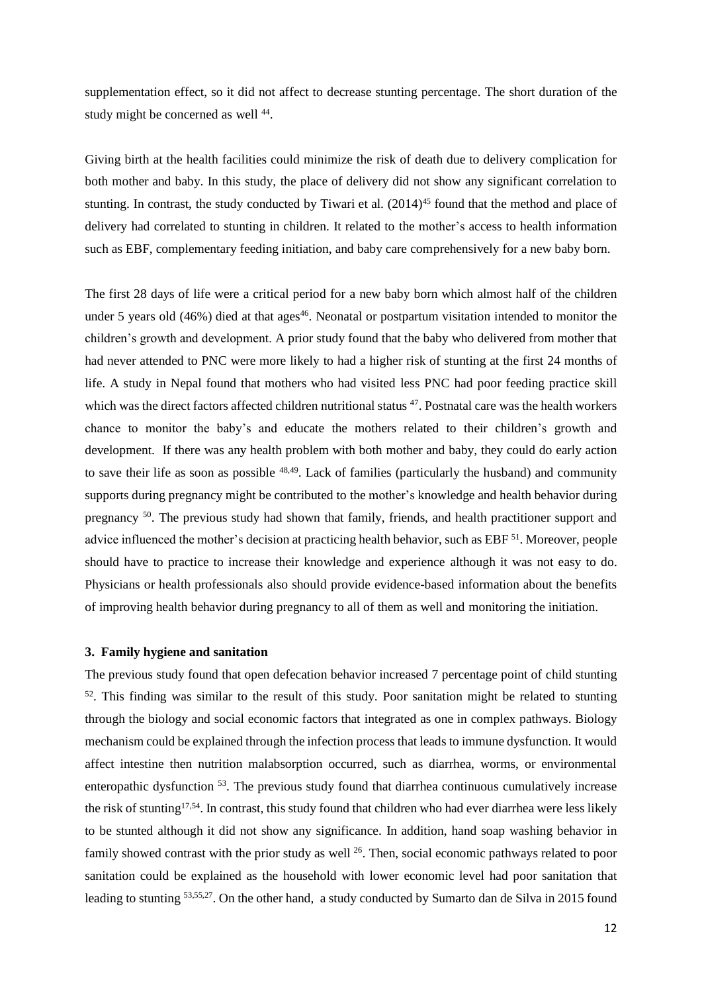supplementation effect, so it did not affect to decrease stunting percentage. The short duration of the study might be concerned as well <sup>44</sup>.

Giving birth at the health facilities could minimize the risk of death due to delivery complication for both mother and baby. In this study, the place of delivery did not show any significant correlation to stunting. In contrast, the study conducted by Tiwari et al. (2014)<sup>45</sup> found that the method and place of delivery had correlated to stunting in children. It related to the mother's access to health information such as EBF, complementary feeding initiation, and baby care comprehensively for a new baby born.

The first 28 days of life were a critical period for a new baby born which almost half of the children under 5 years old  $(46%)$  died at that ages<sup>46</sup>. Neonatal or postpartum visitation intended to monitor the children's growth and development. A prior study found that the baby who delivered from mother that had never attended to PNC were more likely to had a higher risk of stunting at the first 24 months of life. A study in Nepal found that mothers who had visited less PNC had poor feeding practice skill which was the direct factors affected children nutritional status <sup>47</sup>. Postnatal care was the health workers chance to monitor the baby's and educate the mothers related to their children's growth and development. If there was any health problem with both mother and baby, they could do early action to save their life as soon as possible  $48,49$ . Lack of families (particularly the husband) and community supports during pregnancy might be contributed to the mother's knowledge and health behavior during pregnancy <sup>50</sup>. The previous study had shown that family, friends, and health practitioner support and advice influenced the mother's decision at practicing health behavior, such as EBF <sup>51</sup>. Moreover, people should have to practice to increase their knowledge and experience although it was not easy to do. Physicians or health professionals also should provide evidence-based information about the benefits of improving health behavior during pregnancy to all of them as well and monitoring the initiation.

#### **3. Family hygiene and sanitation**

The previous study found that open defecation behavior increased 7 percentage point of child stunting 52 . This finding was similar to the result of this study. Poor sanitation might be related to stunting through the biology and social economic factors that integrated as one in complex pathways. Biology mechanism could be explained through the infection process that leads to immune dysfunction. It would affect intestine then nutrition malabsorption occurred, such as diarrhea, worms, or environmental enteropathic dysfunction <sup>53</sup>. The previous study found that diarrhea continuous cumulatively increase the risk of stunting<sup>17,54</sup>. In contrast, this study found that children who had ever diarrhea were less likely to be stunted although it did not show any significance. In addition, hand soap washing behavior in family showed contrast with the prior study as well <sup>26</sup>. Then, social economic pathways related to poor sanitation could be explained as the household with lower economic level had poor sanitation that leading to stunting <sup>53,55,27</sup>. On the other hand, a study conducted by Sumarto dan de Silva in 2015 found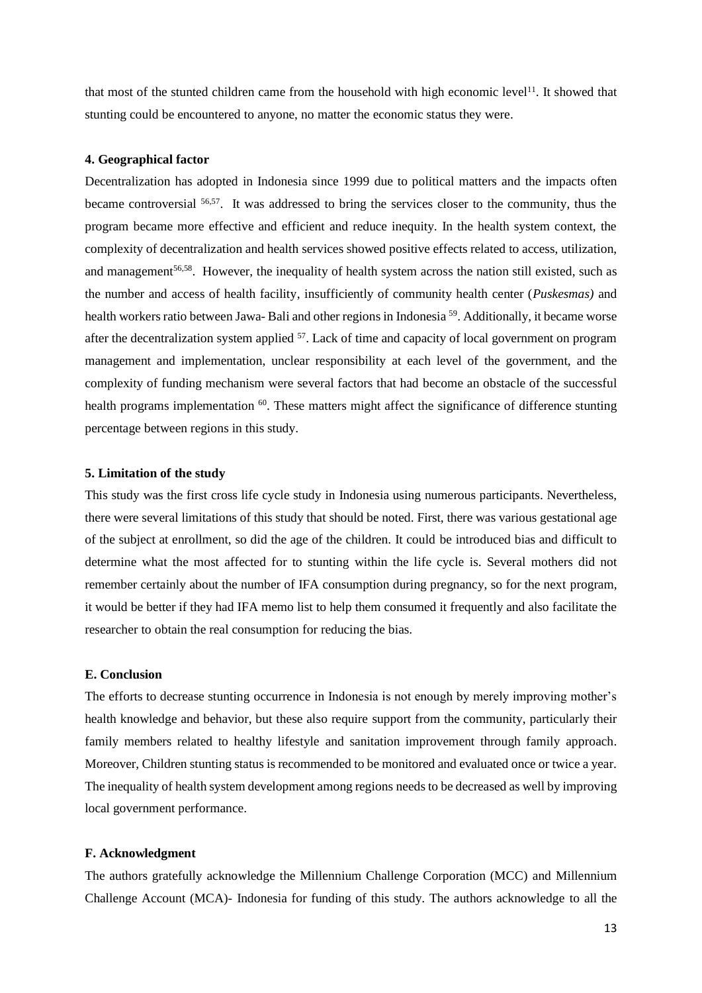that most of the stunted children came from the household with high economic level<sup>11</sup>. It showed that stunting could be encountered to anyone, no matter the economic status they were.

### **4. Geographical factor**

Decentralization has adopted in Indonesia since 1999 due to political matters and the impacts often became controversial <sup>56,57</sup>. It was addressed to bring the services closer to the community, thus the program became more effective and efficient and reduce inequity. In the health system context, the complexity of decentralization and health services showed positive effects related to access, utilization, and management<sup>56,58</sup>. However, the inequality of health system across the nation still existed, such as the number and access of health facility, insufficiently of community health center (*Puskesmas)* and health workers ratio between Jawa- Bali and other regions in Indonesia <sup>59</sup>. Additionally, it became worse after the decentralization system applied <sup>57</sup>. Lack of time and capacity of local government on program management and implementation, unclear responsibility at each level of the government, and the complexity of funding mechanism were several factors that had become an obstacle of the successful health programs implementation <sup>60</sup>. These matters might affect the significance of difference stunting percentage between regions in this study.

## **5. Limitation of the study**

This study was the first cross life cycle study in Indonesia using numerous participants. Nevertheless, there were several limitations of this study that should be noted. First, there was various gestational age of the subject at enrollment, so did the age of the children. It could be introduced bias and difficult to determine what the most affected for to stunting within the life cycle is. Several mothers did not remember certainly about the number of IFA consumption during pregnancy, so for the next program, it would be better if they had IFA memo list to help them consumed it frequently and also facilitate the researcher to obtain the real consumption for reducing the bias.

#### **E. Conclusion**

The efforts to decrease stunting occurrence in Indonesia is not enough by merely improving mother's health knowledge and behavior, but these also require support from the community, particularly their family members related to healthy lifestyle and sanitation improvement through family approach. Moreover, Children stunting status is recommended to be monitored and evaluated once or twice a year. The inequality of health system development among regions needsto be decreased as well by improving local government performance.

## **F. Acknowledgment**

The authors gratefully acknowledge the Millennium Challenge Corporation (MCC) and Millennium Challenge Account (MCA)- Indonesia for funding of this study. The authors acknowledge to all the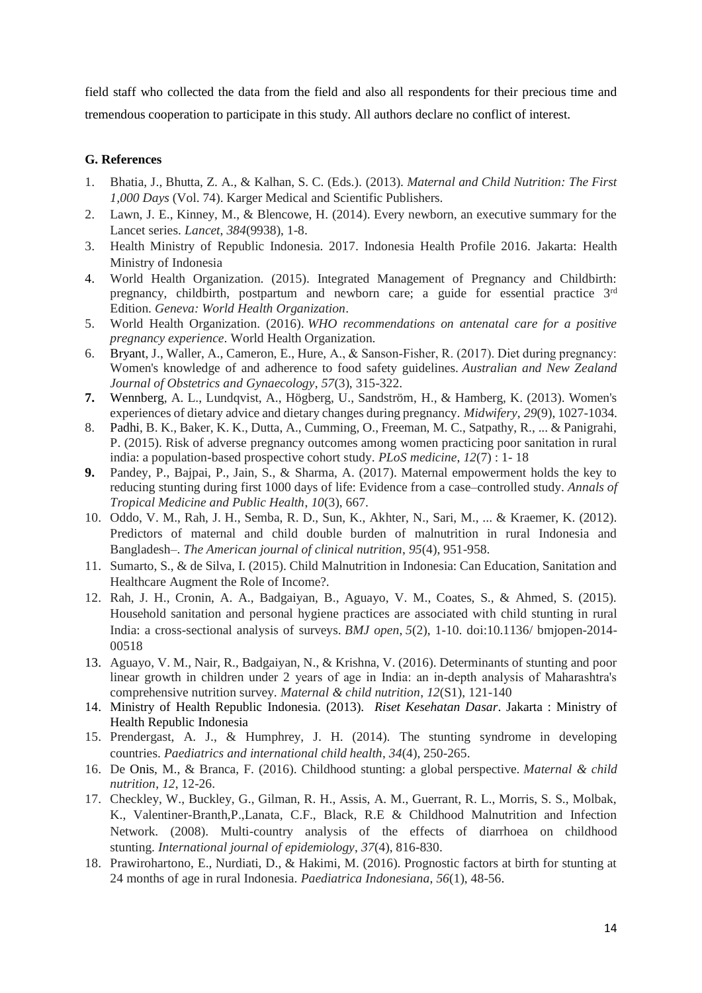field staff who collected the data from the field and also all respondents for their precious time and tremendous cooperation to participate in this study. All authors declare no conflict of interest.

# **G. References**

- 1. Bhatia, J., Bhutta, Z. A., & Kalhan, S. C. (Eds.). (2013). *Maternal and Child Nutrition: The First 1,000 Days* (Vol. 74). Karger Medical and Scientific Publishers.
- 2. Lawn, J. E., Kinney, M., & Blencowe, H. (2014). Every newborn, an executive summary for the Lancet series. *Lancet*, *384*(9938), 1-8.
- 3. Health Ministry of Republic Indonesia. 2017. Indonesia Health Profile 2016. Jakarta: Health Ministry of Indonesia
- 4. World Health Organization. (2015). Integrated Management of Pregnancy and Childbirth: pregnancy, childbirth, postpartum and newborn care; a guide for essential practice 3<sup>rd</sup> Edition. *Geneva: World Health Organization*.
- 5. World Health Organization. (2016). *WHO recommendations on antenatal care for a positive pregnancy experience*. World Health Organization.
- 6. Bryant, J., Waller, A., Cameron, E., Hure, A., & Sanson‐Fisher, R. (2017). Diet during pregnancy: Women's knowledge of and adherence to food safety guidelines. *Australian and New Zealand Journal of Obstetrics and Gynaecology*, *57*(3), 315-322.
- **7.** Wennberg, A. L., Lundqvist, A., Högberg, U., Sandström, H., & Hamberg, K. (2013). Women's experiences of dietary advice and dietary changes during pregnancy. *Midwifery*, *29*(9), 1027-1034.
- 8. Padhi, B. K., Baker, K. K., Dutta, A., Cumming, O., Freeman, M. C., Satpathy, R., ... & Panigrahi, P. (2015). Risk of adverse pregnancy outcomes among women practicing poor sanitation in rural india: a population-based prospective cohort study. *PLoS medicine*, *12*(7) : 1- 18
- **9.** Pandey, P., Bajpai, P., Jain, S., & Sharma, A. (2017). Maternal empowerment holds the key to reducing stunting during first 1000 days of life: Evidence from a case–controlled study. *Annals of Tropical Medicine and Public Health*, *10*(3), 667.
- 10. Oddo, V. M., Rah, J. H., Semba, R. D., Sun, K., Akhter, N., Sari, M., ... & Kraemer, K. (2012). Predictors of maternal and child double burden of malnutrition in rural Indonesia and Bangladesh–. *The American journal of clinical nutrition*, *95*(4), 951-958.
- 11. Sumarto, S., & de Silva, I. (2015). Child Malnutrition in Indonesia: Can Education, Sanitation and Healthcare Augment the Role of Income?.
- 12. Rah, J. H., Cronin, A. A., Badgaiyan, B., Aguayo, V. M., Coates, S., & Ahmed, S. (2015). Household sanitation and personal hygiene practices are associated with child stunting in rural India: a cross-sectional analysis of surveys. *BMJ open*, *5*(2), 1-10. doi:10.1136/ bmjopen-2014- 00518
- 13. Aguayo, V. M., Nair, R., Badgaiyan, N., & Krishna, V. (2016). Determinants of stunting and poor linear growth in children under 2 years of age in India: an in‐depth analysis of Maharashtra's comprehensive nutrition survey. *Maternal & child nutrition*, *12*(S1), 121-140
- 14. Ministry of Health Republic Indonesia. (2013). *Riset Kesehatan Dasar*. Jakarta : Ministry of Health Republic Indonesia
- 15. Prendergast, A. J., & Humphrey, J. H. (2014). The stunting syndrome in developing countries. *Paediatrics and international child health*, *34*(4), 250-265.
- 16. De Onis, M., & Branca, F. (2016). Childhood stunting: a global perspective. *Maternal & child nutrition*, *12*, 12-26.
- 17. Checkley, W., Buckley, G., Gilman, R. H., Assis, A. M., Guerrant, R. L., Morris, S. S., Molbak, K., Valentiner-Branth,P.,Lanata, C.F., Black, R.E & Childhood Malnutrition and Infection Network. (2008). Multi-country analysis of the effects of diarrhoea on childhood stunting. *International journal of epidemiology*, *37*(4), 816-830.
- 18. Prawirohartono, E., Nurdiati, D., & Hakimi, M. (2016). Prognostic factors at birth for stunting at 24 months of age in rural Indonesia. *Paediatrica Indonesiana*, *56*(1), 48-56.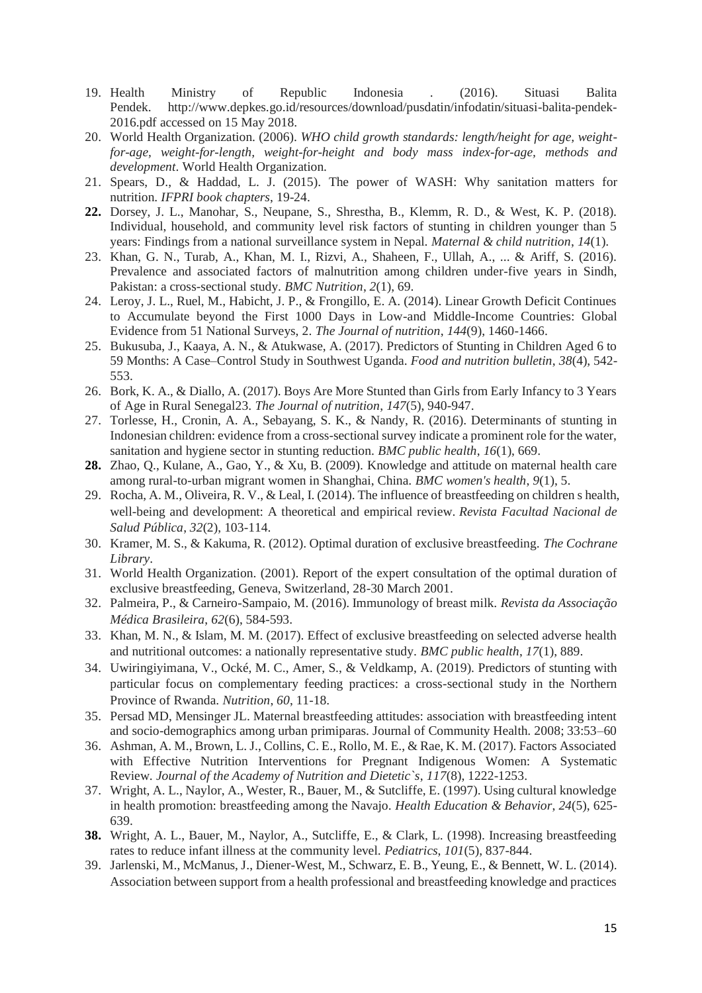- 19. Health Ministry of Republic Indonesia . (2016). Situasi Balita Pendek. http://www.depkes.go.id/resources/download/pusdatin/infodatin/situasi-balita-pendek-2016.pdf accessed on 15 May 2018.
- 20. World Health Organization. (2006). *WHO child growth standards: length/height for age, weightfor-age, weight-for-length, weight-for-height and body mass index-for-age, methods and development*. World Health Organization.
- 21. Spears, D., & Haddad, L. J. (2015). The power of WASH: Why sanitation matters for nutrition. *IFPRI book chapters*, 19-24.
- **22.** Dorsey, J. L., Manohar, S., Neupane, S., Shrestha, B., Klemm, R. D., & West, K. P. (2018). Individual, household, and community level risk factors of stunting in children younger than 5 years: Findings from a national surveillance system in Nepal. *Maternal & child nutrition*, *14*(1).
- 23. Khan, G. N., Turab, A., Khan, M. I., Rizvi, A., Shaheen, F., Ullah, A., ... & Ariff, S. (2016). Prevalence and associated factors of malnutrition among children under-five years in Sindh, Pakistan: a cross-sectional study. *BMC Nutrition*, *2*(1), 69.
- 24. Leroy, J. L., Ruel, M., Habicht, J. P., & Frongillo, E. A. (2014). Linear Growth Deficit Continues to Accumulate beyond the First 1000 Days in Low-and Middle-Income Countries: Global Evidence from 51 National Surveys, 2. *The Journal of nutrition*, *144*(9), 1460-1466.
- 25. Bukusuba, J., Kaaya, A. N., & Atukwase, A. (2017). Predictors of Stunting in Children Aged 6 to 59 Months: A Case–Control Study in Southwest Uganda. *Food and nutrition bulletin*, *38*(4), 542- 553.
- 26. Bork, K. A., & Diallo, A. (2017). Boys Are More Stunted than Girls from Early Infancy to 3 Years of Age in Rural Senegal23. *The Journal of nutrition*, *147*(5), 940-947.
- 27. Torlesse, H., Cronin, A. A., Sebayang, S. K., & Nandy, R. (2016). Determinants of stunting in Indonesian children: evidence from a cross-sectional survey indicate a prominent role for the water, sanitation and hygiene sector in stunting reduction. *BMC public health*, *16*(1), 669.
- **28.** Zhao, Q., Kulane, A., Gao, Y., & Xu, B. (2009). Knowledge and attitude on maternal health care among rural-to-urban migrant women in Shanghai, China. *BMC women's health*, *9*(1), 5.
- 29. Rocha, A. M., Oliveira, R. V., & Leal, I. (2014). The influence of breastfeeding on children s health, well-being and development: A theoretical and empirical review. *Revista Facultad Nacional de Salud Pública*, *32*(2), 103-114.
- 30. Kramer, M. S., & Kakuma, R. (2012). Optimal duration of exclusive breastfeeding. *The Cochrane Library*.
- 31. World Health Organization. (2001). Report of the expert consultation of the optimal duration of exclusive breastfeeding, Geneva, Switzerland, 28-30 March 2001.
- 32. Palmeira, P., & Carneiro-Sampaio, M. (2016). Immunology of breast milk. *Revista da Associação Médica Brasileira*, *62*(6), 584-593.
- 33. Khan, M. N., & Islam, M. M. (2017). Effect of exclusive breastfeeding on selected adverse health and nutritional outcomes: a nationally representative study. *BMC public health*, *17*(1), 889.
- 34. Uwiringiyimana, V., Ocké, M. C., Amer, S., & Veldkamp, A. (2019). Predictors of stunting with particular focus on complementary feeding practices: a cross-sectional study in the Northern Province of Rwanda. *Nutrition*, *60*, 11-18.
- 35. Persad MD, Mensinger JL. Maternal breastfeeding attitudes: association with breastfeeding intent and socio-demographics among urban primiparas. Journal of Community Health. 2008; 33:53–60
- 36. Ashman, A. M., Brown, L. J., Collins, C. E., Rollo, M. E., & Rae, K. M. (2017). Factors Associated with Effective Nutrition Interventions for Pregnant Indigenous Women: A Systematic Review. *Journal of the Academy of Nutrition and Dietetic`s*, *117*(8), 1222-1253.
- 37. Wright, A. L., Naylor, A., Wester, R., Bauer, M., & Sutcliffe, E. (1997). Using cultural knowledge in health promotion: breastfeeding among the Navajo. *Health Education & Behavior*, *24*(5), 625- 639.
- **38.** Wright, A. L., Bauer, M., Naylor, A., Sutcliffe, E., & Clark, L. (1998). Increasing breastfeeding rates to reduce infant illness at the community level. *Pediatrics*, *101*(5), 837-844.
- 39. Jarlenski, M., McManus, J., Diener-West, M., Schwarz, E. B., Yeung, E., & Bennett, W. L. (2014). Association between support from a health professional and breastfeeding knowledge and practices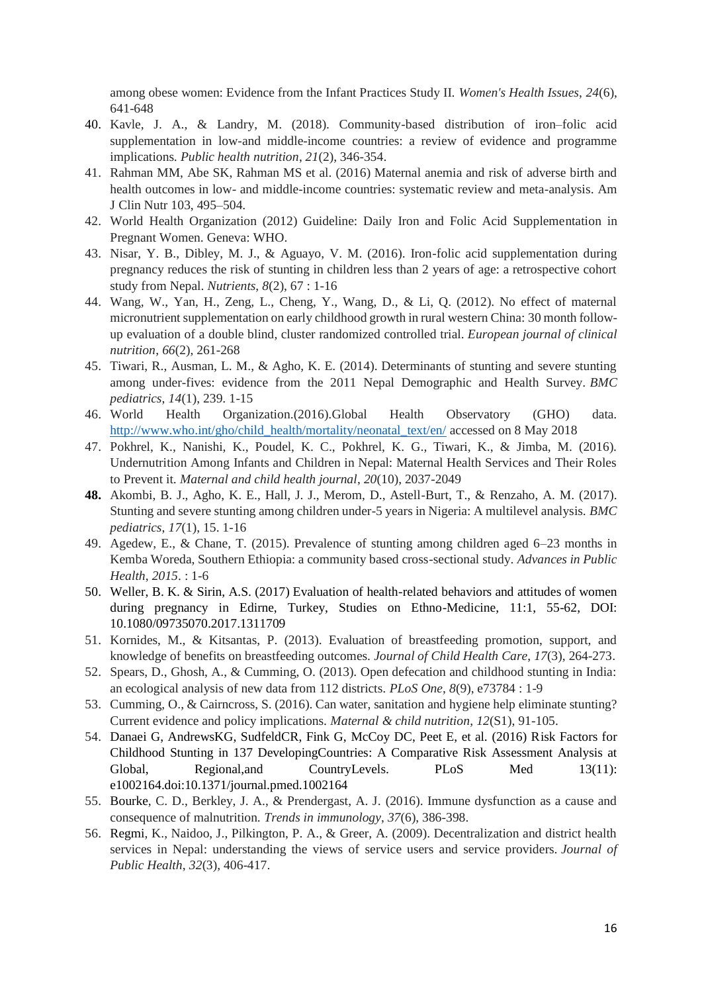among obese women: Evidence from the Infant Practices Study II. *Women's Health Issues*, *24*(6), 641-648

- 40. Kavle, J. A., & Landry, M. (2018). Community-based distribution of iron–folic acid supplementation in low-and middle-income countries: a review of evidence and programme implications. *Public health nutrition*, *21*(2), 346-354.
- 41. Rahman MM, Abe SK, Rahman MS et al. (2016) Maternal anemia and risk of adverse birth and health outcomes in low- and middle-income countries: systematic review and meta-analysis. Am J Clin Nutr 103, 495–504.
- 42. World Health Organization (2012) Guideline: Daily Iron and Folic Acid Supplementation in Pregnant Women. Geneva: WHO.
- 43. Nisar, Y. B., Dibley, M. J., & Aguayo, V. M. (2016). Iron-folic acid supplementation during pregnancy reduces the risk of stunting in children less than 2 years of age: a retrospective cohort study from Nepal. *Nutrients*, *8*(2), 67 : 1-16
- 44. Wang, W., Yan, H., Zeng, L., Cheng, Y., Wang, D., & Li, Q. (2012). No effect of maternal micronutrient supplementation on early childhood growth in rural western China: 30 month followup evaluation of a double blind, cluster randomized controlled trial. *European journal of clinical nutrition*, *66*(2), 261-268
- 45. Tiwari, R., Ausman, L. M., & Agho, K. E. (2014). Determinants of stunting and severe stunting among under-fives: evidence from the 2011 Nepal Demographic and Health Survey. *BMC pediatrics*, *14*(1), 239. 1-15
- 46. World Health Organization.(2016).Global Health Observatory (GHO) data. [http://www.who.int/gho/child\\_health/mortality/neonatal\\_text/en/](http://www.who.int/gho/child_health/mortality/neonatal_text/en/) accessed on 8 May 2018
- 47. Pokhrel, K., Nanishi, K., Poudel, K. C., Pokhrel, K. G., Tiwari, K., & Jimba, M. (2016). Undernutrition Among Infants and Children in Nepal: Maternal Health Services and Their Roles to Prevent it. *Maternal and child health journal*, *20*(10), 2037-2049
- **48.** Akombi, B. J., Agho, K. E., Hall, J. J., Merom, D., Astell-Burt, T., & Renzaho, A. M. (2017). Stunting and severe stunting among children under-5 years in Nigeria: A multilevel analysis. *BMC pediatrics*, *17*(1), 15. 1-16
- 49. Agedew, E., & Chane, T. (2015). Prevalence of stunting among children aged 6–23 months in Kemba Woreda, Southern Ethiopia: a community based cross-sectional study. *Advances in Public Health*, *2015*. : 1-6
- 50. Weller, B. K. & Sirin, A.S. (2017) Evaluation of health-related behaviors and attitudes of women during pregnancy in Edirne, Turkey, Studies on Ethno-Medicine, 11:1, 55-62, DOI: 10.1080/09735070.2017.1311709
- 51. Kornides, M., & Kitsantas, P. (2013). Evaluation of breastfeeding promotion, support, and knowledge of benefits on breastfeeding outcomes. *Journal of Child Health Care*, *17*(3), 264-273.
- 52. Spears, D., Ghosh, A., & Cumming, O. (2013). Open defecation and childhood stunting in India: an ecological analysis of new data from 112 districts. *PLoS One*, *8*(9), e73784 : 1-9
- 53. Cumming, O., & Cairncross, S. (2016). Can water, sanitation and hygiene help eliminate stunting? Current evidence and policy implications. *Maternal & child nutrition*, *12*(S1), 91-105.
- 54. Danaei G, AndrewsKG, SudfeldCR, Fink G, McCoy DC, Peet E, et al. (2016) Risk Factors for Childhood Stunting in 137 DevelopingCountries: A Comparative Risk Assessment Analysis at Global, Regional, and CountryLevels. PLoS Med 13(11): e1002164.doi:10.1371/journal.pmed.1002164
- 55. Bourke, C. D., Berkley, J. A., & Prendergast, A. J. (2016). Immune dysfunction as a cause and consequence of malnutrition. *Trends in immunology*, *37*(6), 386-398.
- 56. Regmi, K., Naidoo, J., Pilkington, P. A., & Greer, A. (2009). Decentralization and district health services in Nepal: understanding the views of service users and service providers. *Journal of Public Health*, *32*(3), 406-417.